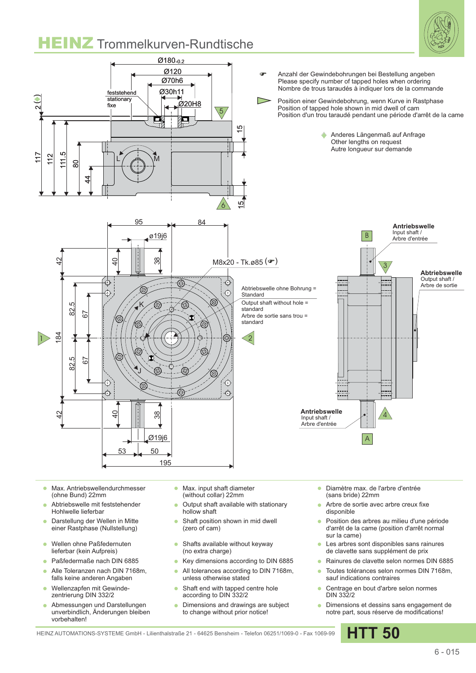

## **HEINZ** Trommelkurven-Rundtische



- Max. Antriebswellendurchmesser  $\sim$ (ohne Bund) 22mm
- Abtriebswelle mit feststehender Hohlwelle lieferbar
- Darstellung der Wellen in Mitte  $\bullet$ einer Rastphase (Nullstellung)
- Wellen ohne Paßfedernuten  $\bullet$ lieferbar (kein Aufpreis)
- Paßfedermaße nach DIN 6885
- Alle Toleranzen nach DIN 7168m,  $\sim$ falls keine anderen Angaben
- Wellenzapfen mit Gewindezentrierung DIN 332/2
- Abmessungen und Darstellungen unverbindlich, Änderungen bleiben vorbehalten!
- Max. input shaft diameter  $\sim$ (without collar) 22mm
- Output shaft available with stationary hollow shaft
- Shaft position shown in mid dwell  $\bullet$ (zero of cam)
- Shafts available without keyway  $\bullet$ (no extra charge)
- Key dimensions according to DIN 6885  $\bullet$
- All tolerances according to DIN 7168m, ä unless otherwise stated
- ä Shaft end with tapped centre hole according to DIN 332/2
- Dimensions and drawings are subject to change without prior notice!
- Diamètre max. de l'arbre d'entrée (sans bride) 22mm
- Arbre de sortie avec arbre creux fixe disponible
- Position des arbres au milieu d'une période d'arrêt de la came (position d'arrêt normal sur la came)
- Les arbres sont disponibles sans rainures de clavette sans supplément de prix
- Rainures de clavette selon normes DIN 6885
- Toutes tolérances selon normes DIN 7168m, sauf indications contraires
- Centrage en bout d'arbre selon normes DIN 332/2
- **·** Dimensions et dessins sans engagement de notre part, sous réserve de modifications!

HEINZ AUTOMATIONS-SYSTEME GmbH - Lilienthalstraße 21 - 64625 Bensheim - Telefon 06251/1069-0 - Fax 1069-99 **HTT 50**